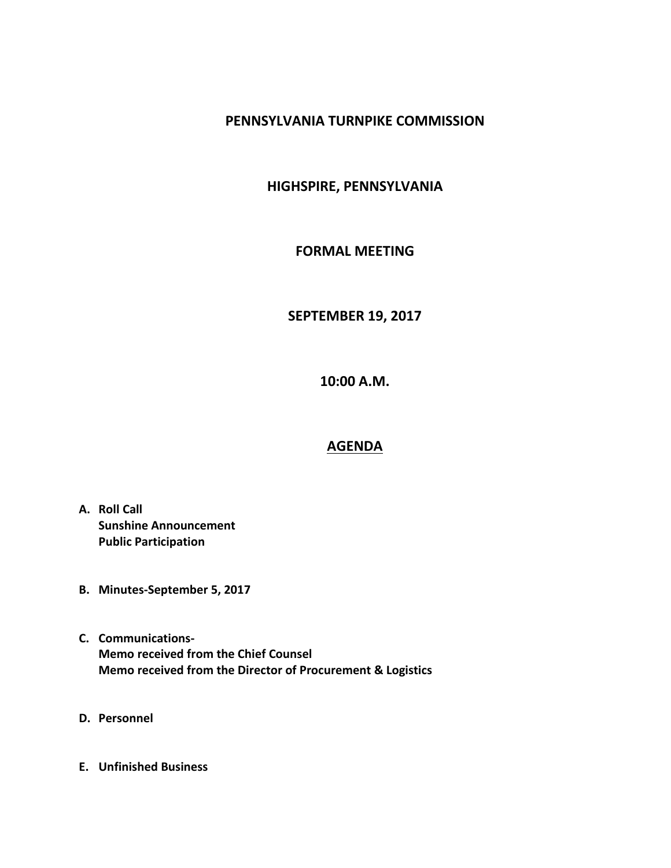### **PENNSYLVANIA TURNPIKE COMMISSION**

# **HIGHSPIRE, PENNSYLVANIA**

## **FORMAL MEETING**

# **SEPTEMBER 19, 2017**

**10:00 A.M.**

### **AGENDA**

- **A. Roll Call Sunshine Announcement Public Participation**
- **B. Minutes-September 5, 2017**
- **C. Communications-Memo received from the Chief Counsel Memo received from the Director of Procurement & Logistics**
- **D. Personnel**
- **E. Unfinished Business**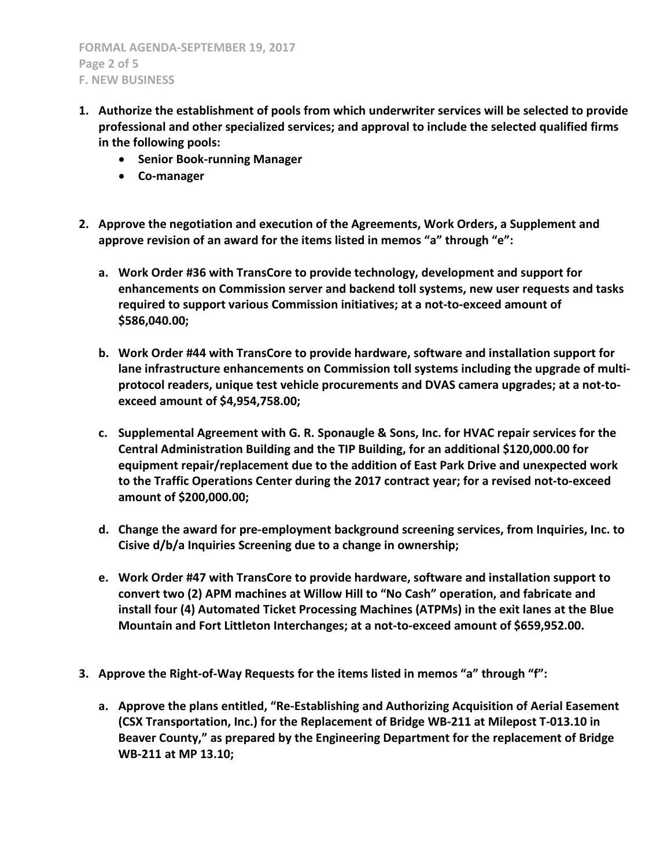- **1. Authorize the establishment of pools from which underwriter services will be selected to provide professional and other specialized services; and approval to include the selected qualified firms in the following pools:**
	- **Senior Book-running Manager**
	- **Co-manager**
- **2. Approve the negotiation and execution of the Agreements, Work Orders, a Supplement and approve revision of an award for the items listed in memos "a" through "e":**
	- **a. Work Order #36 with TransCore to provide technology, development and support for enhancements on Commission server and backend toll systems, new user requests and tasks required to support various Commission initiatives; at a not-to-exceed amount of \$586,040.00;**
	- **b. Work Order #44 with TransCore to provide hardware, software and installation support for lane infrastructure enhancements on Commission toll systems including the upgrade of multiprotocol readers, unique test vehicle procurements and DVAS camera upgrades; at a not-toexceed amount of \$4,954,758.00;**
	- **c. Supplemental Agreement with G. R. Sponaugle & Sons, Inc. for HVAC repair services for the Central Administration Building and the TIP Building, for an additional \$120,000.00 for equipment repair/replacement due to the addition of East Park Drive and unexpected work to the Traffic Operations Center during the 2017 contract year; for a revised not-to-exceed amount of \$200,000.00;**
	- **d. Change the award for pre-employment background screening services, from Inquiries, Inc. to Cisive d/b/a Inquiries Screening due to a change in ownership;**
	- **e. Work Order #47 with TransCore to provide hardware, software and installation support to convert two (2) APM machines at Willow Hill to "No Cash" operation, and fabricate and install four (4) Automated Ticket Processing Machines (ATPMs) in the exit lanes at the Blue Mountain and Fort Littleton Interchanges; at a not-to-exceed amount of \$659,952.00.**
- **3. Approve the Right-of-Way Requests for the items listed in memos "a" through "f":**
	- **a. Approve the plans entitled, "Re-Establishing and Authorizing Acquisition of Aerial Easement (CSX Transportation, Inc.) for the Replacement of Bridge WB-211 at Milepost T-013.10 in Beaver County," as prepared by the Engineering Department for the replacement of Bridge WB-211 at MP 13.10;**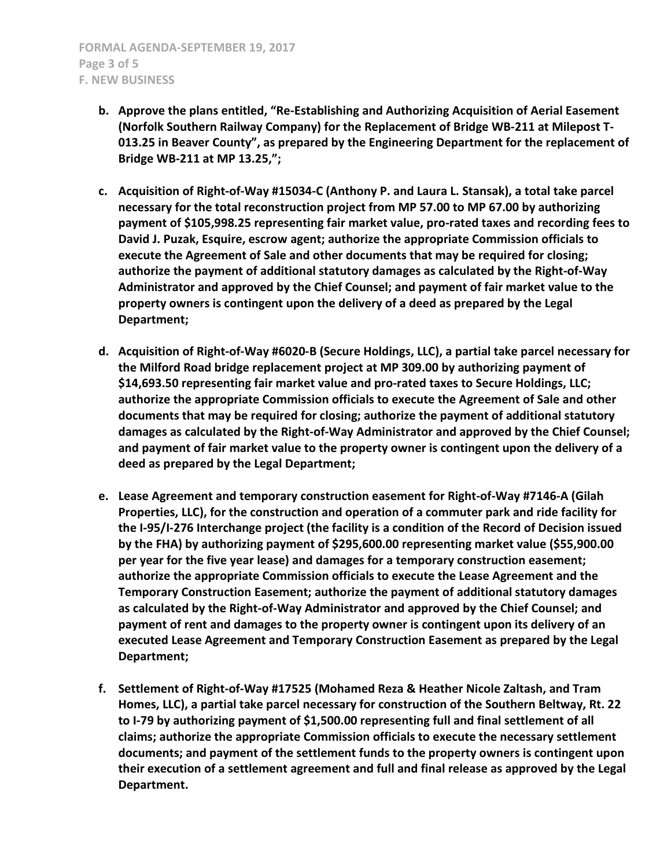- **b. Approve the plans entitled, "Re-Establishing and Authorizing Acquisition of Aerial Easement (Norfolk Southern Railway Company) for the Replacement of Bridge WB-211 at Milepost T-013.25 in Beaver County", as prepared by the Engineering Department for the replacement of Bridge WB-211 at MP 13.25,";**
- **c. Acquisition of Right-of-Way #15034-C (Anthony P. and Laura L. Stansak), a total take parcel necessary for the total reconstruction project from MP 57.00 to MP 67.00 by authorizing payment of \$105,998.25 representing fair market value, pro-rated taxes and recording fees to David J. Puzak, Esquire, escrow agent; authorize the appropriate Commission officials to execute the Agreement of Sale and other documents that may be required for closing; authorize the payment of additional statutory damages as calculated by the Right-of-Way Administrator and approved by the Chief Counsel; and payment of fair market value to the property owners is contingent upon the delivery of a deed as prepared by the Legal Department;**
- **d. Acquisition of Right-of-Way #6020-B (Secure Holdings, LLC), a partial take parcel necessary for the Milford Road bridge replacement project at MP 309.00 by authorizing payment of \$14,693.50 representing fair market value and pro-rated taxes to Secure Holdings, LLC; authorize the appropriate Commission officials to execute the Agreement of Sale and other documents that may be required for closing; authorize the payment of additional statutory damages as calculated by the Right-of-Way Administrator and approved by the Chief Counsel; and payment of fair market value to the property owner is contingent upon the delivery of a deed as prepared by the Legal Department;**
- **e. Lease Agreement and temporary construction easement for Right-of-Way #7146-A (Gilah Properties, LLC), for the construction and operation of a commuter park and ride facility for the I-95/I-276 Interchange project (the facility is a condition of the Record of Decision issued by the FHA) by authorizing payment of \$295,600.00 representing market value (\$55,900.00 per year for the five year lease) and damages for a temporary construction easement; authorize the appropriate Commission officials to execute the Lease Agreement and the Temporary Construction Easement; authorize the payment of additional statutory damages as calculated by the Right-of-Way Administrator and approved by the Chief Counsel; and payment of rent and damages to the property owner is contingent upon its delivery of an executed Lease Agreement and Temporary Construction Easement as prepared by the Legal Department;**
- **f. Settlement of Right-of-Way #17525 (Mohamed Reza & Heather Nicole Zaltash, and Tram Homes, LLC), a partial take parcel necessary for construction of the Southern Beltway, Rt. 22 to I-79 by authorizing payment of \$1,500.00 representing full and final settlement of all claims; authorize the appropriate Commission officials to execute the necessary settlement documents; and payment of the settlement funds to the property owners is contingent upon their execution of a settlement agreement and full and final release as approved by the Legal Department.**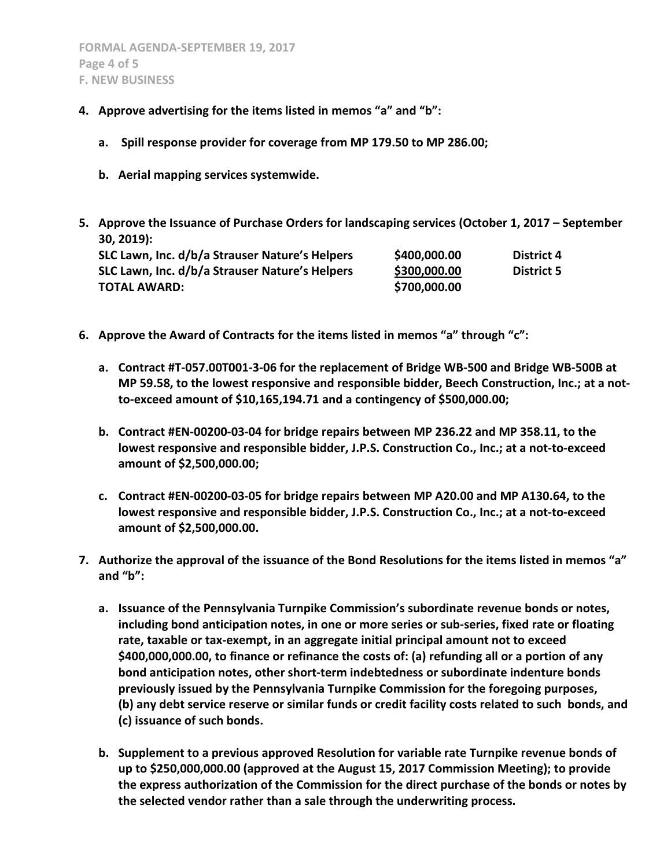- **4. Approve advertising for the items listed in memos "a" and "b":**
	- **a. Spill response provider for coverage from MP 179.50 to MP 286.00;**
	- **b. Aerial mapping services systemwide.**
- **5. Approve the Issuance of Purchase Orders for landscaping services (October 1, 2017 – September 30, 2019):**

| SLC Lawn, Inc. d/b/a Strauser Nature's Helpers | \$400,000.00 | District 4        |
|------------------------------------------------|--------------|-------------------|
| SLC Lawn, Inc. d/b/a Strauser Nature's Helpers | \$300,000.00 | <b>District 5</b> |
| TOTAL AWARD:                                   | \$700,000.00 |                   |

- **6. Approve the Award of Contracts for the items listed in memos "a" through "c":**
	- **a. Contract #T-057.00T001-3-06 for the replacement of Bridge WB-500 and Bridge WB-500B at MP 59.58, to the lowest responsive and responsible bidder, Beech Construction, Inc.; at a notto-exceed amount of \$10,165,194.71 and a contingency of \$500,000.00;**
	- **b. Contract #EN-00200-03-04 for bridge repairs between MP 236.22 and MP 358.11, to the lowest responsive and responsible bidder, J.P.S. Construction Co., Inc.; at a not-to-exceed amount of \$2,500,000.00;**
	- **c. Contract #EN-00200-03-05 for bridge repairs between MP A20.00 and MP A130.64, to the lowest responsive and responsible bidder, J.P.S. Construction Co., Inc.; at a not-to-exceed amount of \$2,500,000.00.**
- **7. Authorize the approval of the issuance of the Bond Resolutions for the items listed in memos "a" and "b":**
	- **a. Issuance of the Pennsylvania Turnpike Commission's subordinate revenue bonds or notes, including bond anticipation notes, in one or more series or sub-series, fixed rate or floating rate, taxable or tax-exempt, in an aggregate initial principal amount not to exceed \$400,000,000.00, to finance or refinance the costs of: (a) refunding all or a portion of any bond anticipation notes, other short-term indebtedness or subordinate indenture bonds previously issued by the Pennsylvania Turnpike Commission for the foregoing purposes, (b) any debt service reserve or similar funds or credit facility costs related to such bonds, and (c) issuance of such bonds.**
	- **b. Supplement to a previous approved Resolution for variable rate Turnpike revenue bonds of up to \$250,000,000.00 (approved at the August 15, 2017 Commission Meeting); to provide the express authorization of the Commission for the direct purchase of the bonds or notes by the selected vendor rather than a sale through the underwriting process.**